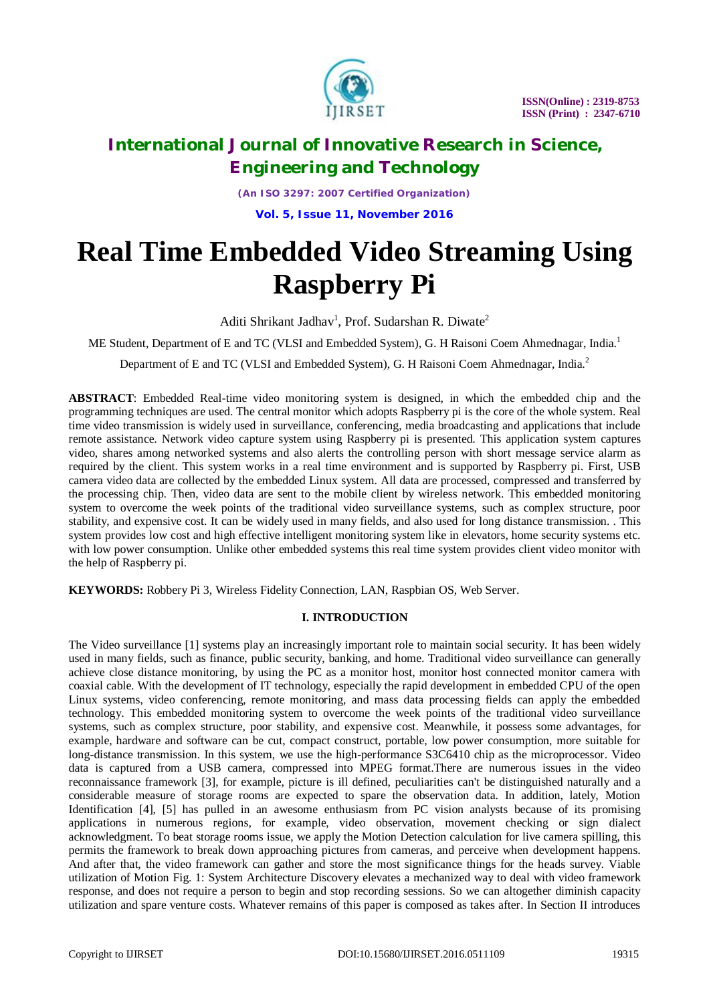

*(An ISO 3297: 2007 Certified Organization)*

**Vol. 5, Issue 11, November 2016**

# **Real Time Embedded Video Streaming Using Raspberry Pi**

Aditi Shrikant Jadhav<sup>1</sup>, Prof. Sudarshan R. Diwate<sup>2</sup>

ME Student, Department of E and TC (VLSI and Embedded System), G. H Raisoni Coem Ahmednagar, India.<sup>1</sup>

Department of E and TC (VLSI and Embedded System), G. H Raisoni Coem Ahmednagar, India.<sup>2</sup>

**ABSTRACT**: Embedded Real-time video monitoring system is designed, in which the embedded chip and the programming techniques are used. The central monitor which adopts Raspberry pi is the core of the whole system. Real time video transmission is widely used in surveillance, conferencing, media broadcasting and applications that include remote assistance. Network video capture system using Raspberry pi is presented. This application system captures video, shares among networked systems and also alerts the controlling person with short message service alarm as required by the client. This system works in a real time environment and is supported by Raspberry pi. First, USB camera video data are collected by the embedded Linux system. All data are processed, compressed and transferred by the processing chip. Then, video data are sent to the mobile client by wireless network. This embedded monitoring system to overcome the week points of the traditional video surveillance systems, such as complex structure, poor stability, and expensive cost. It can be widely used in many fields, and also used for long distance transmission. . This system provides low cost and high effective intelligent monitoring system like in elevators, home security systems etc. with low power consumption. Unlike other embedded systems this real time system provides client video monitor with the help of Raspberry pi.

**KEYWORDS:** Robbery Pi 3, Wireless Fidelity Connection, LAN, Raspbian OS, Web Server.

### **I. INTRODUCTION**

The Video surveillance [1] systems play an increasingly important role to maintain social security. It has been widely used in many fields, such as finance, public security, banking, and home. Traditional video surveillance can generally achieve close distance monitoring, by using the PC as a monitor host, monitor host connected monitor camera with coaxial cable. With the development of IT technology, especially the rapid development in embedded CPU of the open Linux systems, video conferencing, remote monitoring, and mass data processing fields can apply the embedded technology. This embedded monitoring system to overcome the week points of the traditional video surveillance systems, such as complex structure, poor stability, and expensive cost. Meanwhile, it possess some advantages, for example, hardware and software can be cut, compact construct, portable, low power consumption, more suitable for long-distance transmission. In this system, we use the high-performance S3C6410 chip as the microprocessor. Video data is captured from a USB camera, compressed into MPEG format.There are numerous issues in the video reconnaissance framework [3], for example, picture is ill defined, peculiarities can't be distinguished naturally and a considerable measure of storage rooms are expected to spare the observation data. In addition, lately, Motion Identification [4], [5] has pulled in an awesome enthusiasm from PC vision analysts because of its promising applications in numerous regions, for example, video observation, movement checking or sign dialect acknowledgment. To beat storage rooms issue, we apply the Motion Detection calculation for live camera spilling, this permits the framework to break down approaching pictures from cameras, and perceive when development happens. And after that, the video framework can gather and store the most significance things for the heads survey. Viable utilization of Motion Fig. 1: System Architecture Discovery elevates a mechanized way to deal with video framework response, and does not require a person to begin and stop recording sessions. So we can altogether diminish capacity utilization and spare venture costs. Whatever remains of this paper is composed as takes after. In Section II introduces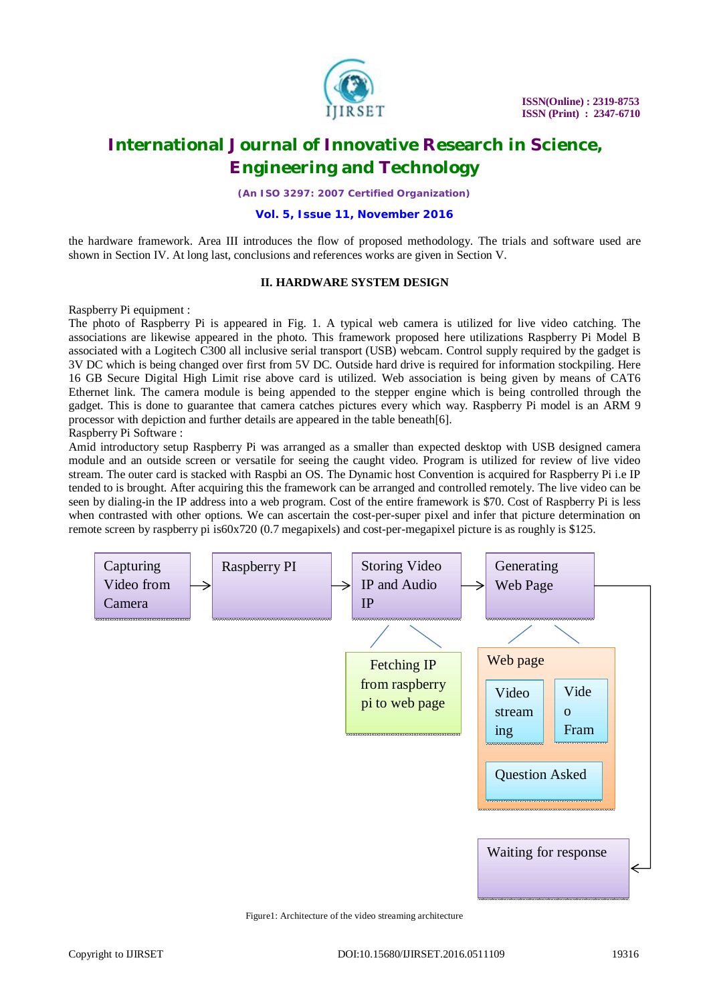

*(An ISO 3297: 2007 Certified Organization)*

### **Vol. 5, Issue 11, November 2016**

the hardware framework. Area III introduces the flow of proposed methodology. The trials and software used are shown in Section IV. At long last, conclusions and references works are given in Section V.

#### **II. HARDWARE SYSTEM DESIGN**

Raspberry Pi equipment :

The photo of Raspberry Pi is appeared in Fig. 1. A typical web camera is utilized for live video catching. The associations are likewise appeared in the photo. This framework proposed here utilizations Raspberry Pi Model B associated with a Logitech C300 all inclusive serial transport (USB) webcam. Control supply required by the gadget is 3V DC which is being changed over first from 5V DC. Outside hard drive is required for information stockpiling. Here 16 GB Secure Digital High Limit rise above card is utilized. Web association is being given by means of CAT6 Ethernet link. The camera module is being appended to the stepper engine which is being controlled through the gadget. This is done to guarantee that camera catches pictures every which way. Raspberry Pi model is an ARM 9 processor with depiction and further details are appeared in the table beneath[6].

Raspberry Pi Software :

Amid introductory setup Raspberry Pi was arranged as a smaller than expected desktop with USB designed camera module and an outside screen or versatile for seeing the caught video. Program is utilized for review of live video stream. The outer card is stacked with Raspbi an OS. The Dynamic host Convention is acquired for Raspberry Pi i.e IP tended to is brought. After acquiring this the framework can be arranged and controlled remotely. The live video can be seen by dialing-in the IP address into a web program. Cost of the entire framework is \$70. Cost of Raspberry Pi is less when contrasted with other options. We can ascertain the cost-per-super pixel and infer that picture determination on remote screen by raspberry pi is60x720 (0.7 megapixels) and cost-per-megapixel picture is as roughly is \$125.



Figure1: Architecture of the video streaming architecture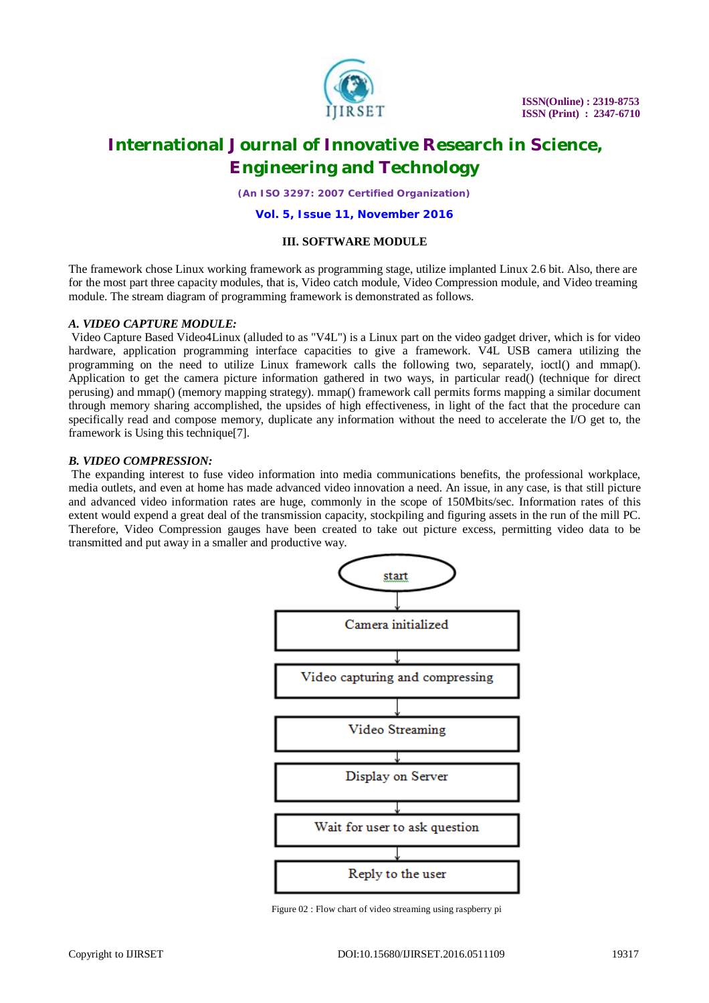

*(An ISO 3297: 2007 Certified Organization)*

#### **Vol. 5, Issue 11, November 2016**

### **III. SOFTWARE MODULE**

The framework chose Linux working framework as programming stage, utilize implanted Linux 2.6 bit. Also, there are for the most part three capacity modules, that is, Video catch module, Video Compression module, and Video treaming module. The stream diagram of programming framework is demonstrated as follows.

### *A. VIDEO CAPTURE MODULE:*

Video Capture Based Video4Linux (alluded to as "V4L") is a Linux part on the video gadget driver, which is for video hardware, application programming interface capacities to give a framework. V4L USB camera utilizing the programming on the need to utilize Linux framework calls the following two, separately, ioctl() and mmap(). Application to get the camera picture information gathered in two ways, in particular read() (technique for direct perusing) and mmap() (memory mapping strategy). mmap() framework call permits forms mapping a similar document through memory sharing accomplished, the upsides of high effectiveness, in light of the fact that the procedure can specifically read and compose memory, duplicate any information without the need to accelerate the I/O get to, the framework is Using this technique[7].

#### *B. VIDEO COMPRESSION:*

The expanding interest to fuse video information into media communications benefits, the professional workplace, media outlets, and even at home has made advanced video innovation a need. An issue, in any case, is that still picture and advanced video information rates are huge, commonly in the scope of 150Mbits/sec. Information rates of this extent would expend a great deal of the transmission capacity, stockpiling and figuring assets in the run of the mill PC. Therefore, Video Compression gauges have been created to take out picture excess, permitting video data to be transmitted and put away in a smaller and productive way.



Figure 02 : Flow chart of video streaming using raspberry pi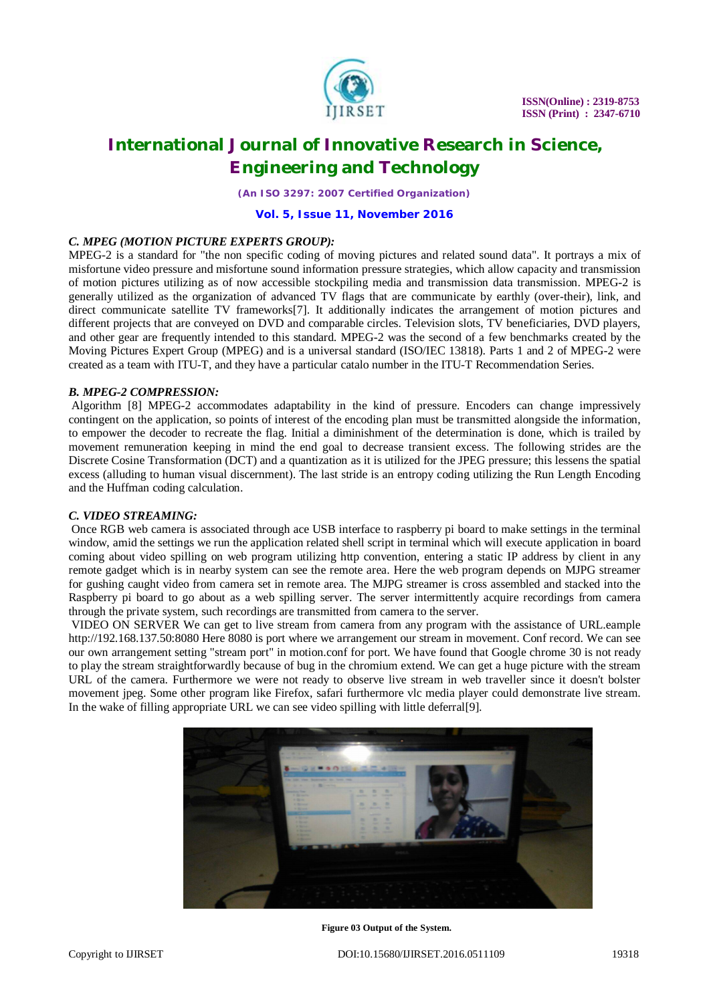

*(An ISO 3297: 2007 Certified Organization)*

### **Vol. 5, Issue 11, November 2016**

### *C. MPEG (MOTION PICTURE EXPERTS GROUP):*

MPEG-2 is a standard for "the non specific coding of moving pictures and related sound data". It portrays a mix of misfortune video pressure and misfortune sound information pressure strategies, which allow capacity and transmission of motion pictures utilizing as of now accessible stockpiling media and transmission data transmission. MPEG-2 is generally utilized as the organization of advanced TV flags that are communicate by earthly (over-their), link, and direct communicate satellite TV frameworks[7]. It additionally indicates the arrangement of motion pictures and different projects that are conveyed on DVD and comparable circles. Television slots, TV beneficiaries, DVD players, and other gear are frequently intended to this standard. MPEG-2 was the second of a few benchmarks created by the Moving Pictures Expert Group (MPEG) and is a universal standard (ISO/IEC 13818). Parts 1 and 2 of MPEG-2 were created as a team with ITU-T, and they have a particular catalo number in the ITU-T Recommendation Series.

### *B. MPEG-2 COMPRESSION:*

Algorithm [8] MPEG-2 accommodates adaptability in the kind of pressure. Encoders can change impressively contingent on the application, so points of interest of the encoding plan must be transmitted alongside the information, to empower the decoder to recreate the flag. Initial a diminishment of the determination is done, which is trailed by movement remuneration keeping in mind the end goal to decrease transient excess. The following strides are the Discrete Cosine Transformation (DCT) and a quantization as it is utilized for the JPEG pressure; this lessens the spatial excess (alluding to human visual discernment). The last stride is an entropy coding utilizing the Run Length Encoding and the Huffman coding calculation.

### *C. VIDEO STREAMING:*

Once RGB web camera is associated through ace USB interface to raspberry pi board to make settings in the terminal window, amid the settings we run the application related shell script in terminal which will execute application in board coming about video spilling on web program utilizing http convention, entering a static IP address by client in any remote gadget which is in nearby system can see the remote area. Here the web program depends on MJPG streamer for gushing caught video from camera set in remote area. The MJPG streamer is cross assembled and stacked into the Raspberry pi board to go about as a web spilling server. The server intermittently acquire recordings from camera through the private system, such recordings are transmitted from camera to the server.

VIDEO ON SERVER We can get to live stream from camera from any program with the assistance of URL.eample <http://192.168.137.50:8080>Here 8080 is port where we arrangement our stream in movement. Conf record. We can see our own arrangement setting "stream port" in motion.conf for port. We have found that Google chrome 30 is not ready to play the stream straightforwardly because of bug in the chromium extend. We can get a huge picture with the stream URL of the camera. Furthermore we were not ready to observe live stream in web traveller since it doesn't bolster movement jpeg. Some other program like Firefox, safari furthermore vlc media player could demonstrate live stream. In the wake of filling appropriate URL we can see video spilling with little deferral[9].



**Figure 03 Output of the System.**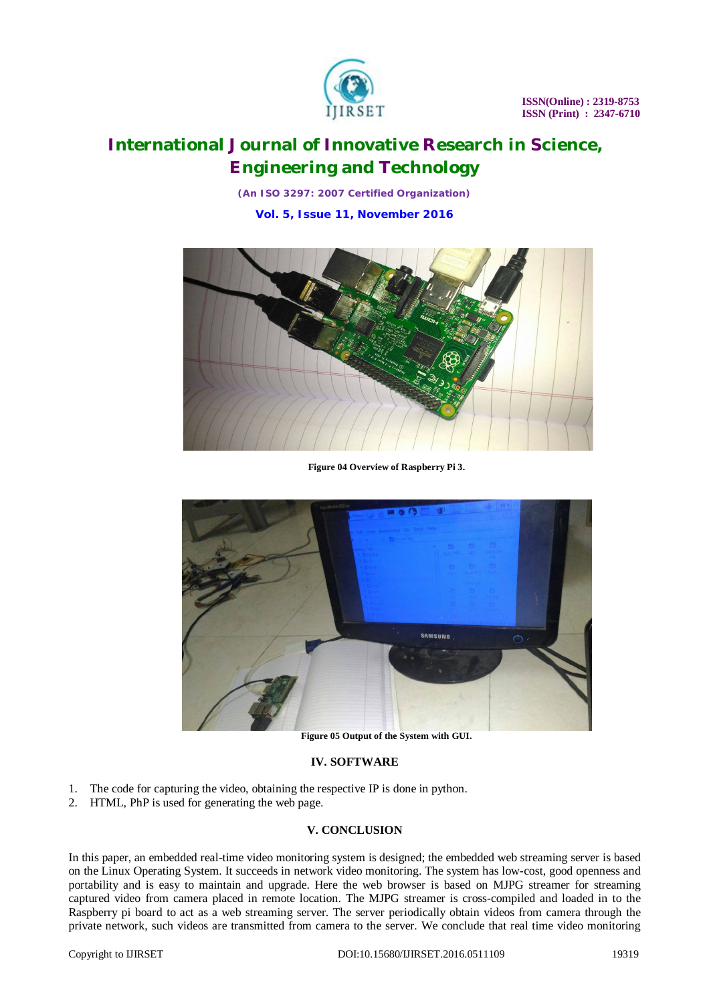

*(An ISO 3297: 2007 Certified Organization)*

**Vol. 5, Issue 11, November 2016**



**Figure 04 Overview of Raspberry Pi 3.**



**Figure 05 Output of the System with GUI.**

### **IV. SOFTWARE**

- 1. The code for capturing the video, obtaining the respective IP is done in python.
- 2. HTML, PhP is used for generating the web page.

### **V. CONCLUSION**

In this paper, an embedded real-time video monitoring system is designed; the embedded web streaming server is based on the Linux Operating System. It succeeds in network video monitoring. The system has low-cost, good openness and portability and is easy to maintain and upgrade. Here the web browser is based on MJPG streamer for streaming captured video from camera placed in remote location. The MJPG streamer is cross-compiled and loaded in to the Raspberry pi board to act as a web streaming server. The server periodically obtain videos from camera through the private network, such videos are transmitted from camera to the server. We conclude that real time video monitoring